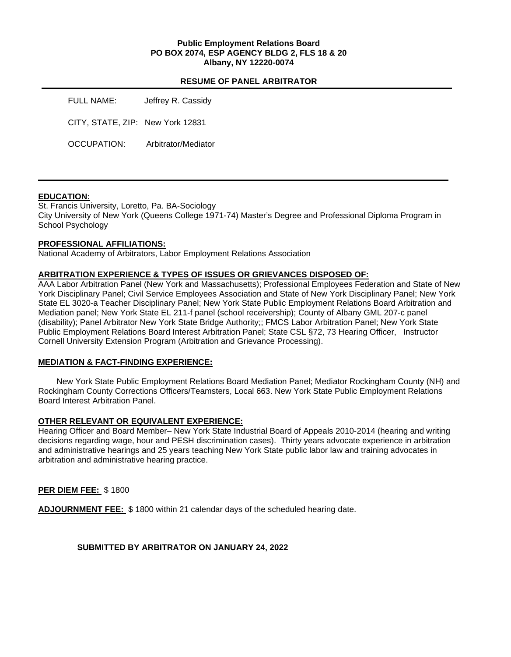#### **Public Employment Relations Board PO BOX 2074, ESP AGENCY BLDG 2, FLS 18 & 20 Albany, NY 12220-0074**

#### **RESUME OF PANEL ARBITRATOR**

| FULL NAME:                       | Jeffrey R. Cassidy  |
|----------------------------------|---------------------|
| CITY, STATE, ZIP: New York 12831 |                     |
| OCCUPATION:                      | Arbitrator/Mediator |

## **EDUCATION:**

St. Francis University, Loretto, Pa. BA-Sociology City University of New York (Queens College 1971-74) Master's Degree and Professional Diploma Program in School Psychology

## **PROFESSIONAL AFFILIATIONS:**

National Academy of Arbitrators, Labor Employment Relations Association

#### **ARBITRATION EXPERIENCE & TYPES OF ISSUES OR GRIEVANCES DISPOSED OF:**

AAA Labor Arbitration Panel (New York and Massachusetts); Professional Employees Federation and State of New York Disciplinary Panel; Civil Service Employees Association and State of New York Disciplinary Panel; New York State EL 3020-a Teacher Disciplinary Panel; New York State Public Employment Relations Board Arbitration and Mediation panel; New York State EL 211-f panel (school receivership); County of Albany GML 207-c panel (disability); Panel Arbitrator New York State Bridge Authority;; FMCS Labor Arbitration Panel; New York State Public Employment Relations Board Interest Arbitration Panel; State CSL §72, 73 Hearing Officer, Instructor Cornell University Extension Program (Arbitration and Grievance Processing).

## **MEDIATION & FACT-FINDING EXPERIENCE:**

New York State Public Employment Relations Board Mediation Panel; Mediator Rockingham County (NH) and Rockingham County Corrections Officers/Teamsters, Local 663. New York State Public Employment Relations Board Interest Arbitration Panel.

## **OTHER RELEVANT OR EQUIVALENT EXPERIENCE:**

Hearing Officer and Board Member– New York State Industrial Board of Appeals 2010-2014 (hearing and writing decisions regarding wage, hour and PESH discrimination cases). Thirty years advocate experience in arbitration and administrative hearings and 25 years teaching New York State public labor law and training advocates in arbitration and administrative hearing practice.

## **PER DIEM FEE:** \$ 1800

**ADJOURNMENT FEE:** \$ 1800 within 21 calendar days of the scheduled hearing date.

## **SUBMITTED BY ARBITRATOR ON JANUARY 24, 2022**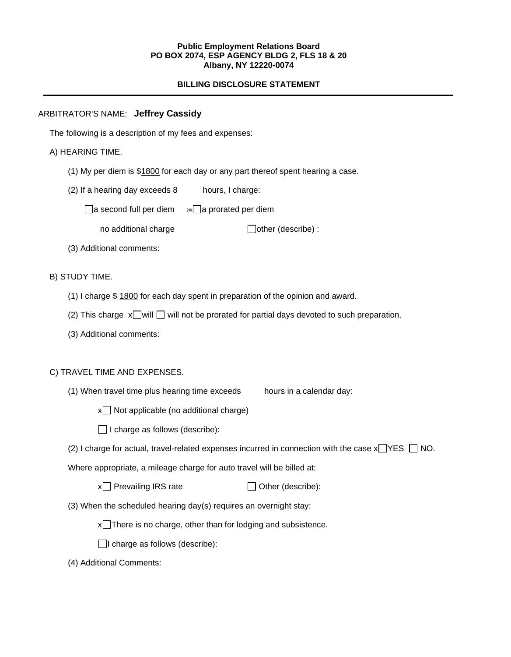#### **Public Employment Relations Board PO BOX 2074, ESP AGENCY BLDG 2, FLS 18 & 20 Albany, NY 12220-0074**

# **BILLING DISCLOSURE STATEMENT**

## ARBITRATOR'S NAME: **Jeffrey Cassidy**

The following is a description of my fees and expenses:

## A) HEARING TIME.

- (1) My per diem is \$1800 for each day or any part thereof spent hearing a case.
- (2) If a hearing day exceeds 8 hours, I charge:
	- $\Box$ a second full per diem  $\Box$ a prorated per diem
		- no additional charge  $\Box$  other (describe) :
- (3) Additional comments:

## B) STUDY TIME.

- (1) I charge \$ 1800 for each day spent in preparation of the opinion and award.
- (2) This charge  $x \Box$  will  $\Box$  will not be prorated for partial days devoted to such preparation.
- (3) Additional comments:

## C) TRAVEL TIME AND EXPENSES.

- (1) When travel time plus hearing time exceeds hours in a calendar day:
	- $x \Box$  Not applicable (no additional charge)
	- $\Box$  I charge as follows (describe):
- (2) I charge for actual, travel-related expenses incurred in connection with the case  $x \rightarrow YES \cap NO$ .

Where appropriate, a mileage charge for auto travel will be billed at:

| $x \Box$ Prevailing IRS rate | $\Box$ Other (describe): |
|------------------------------|--------------------------|
|------------------------------|--------------------------|

(3) When the scheduled hearing day(s) requires an overnight stay:

 $x$ There is no charge, other than for lodging and subsistence.

 $\Box$ I charge as follows (describe):

(4) Additional Comments: